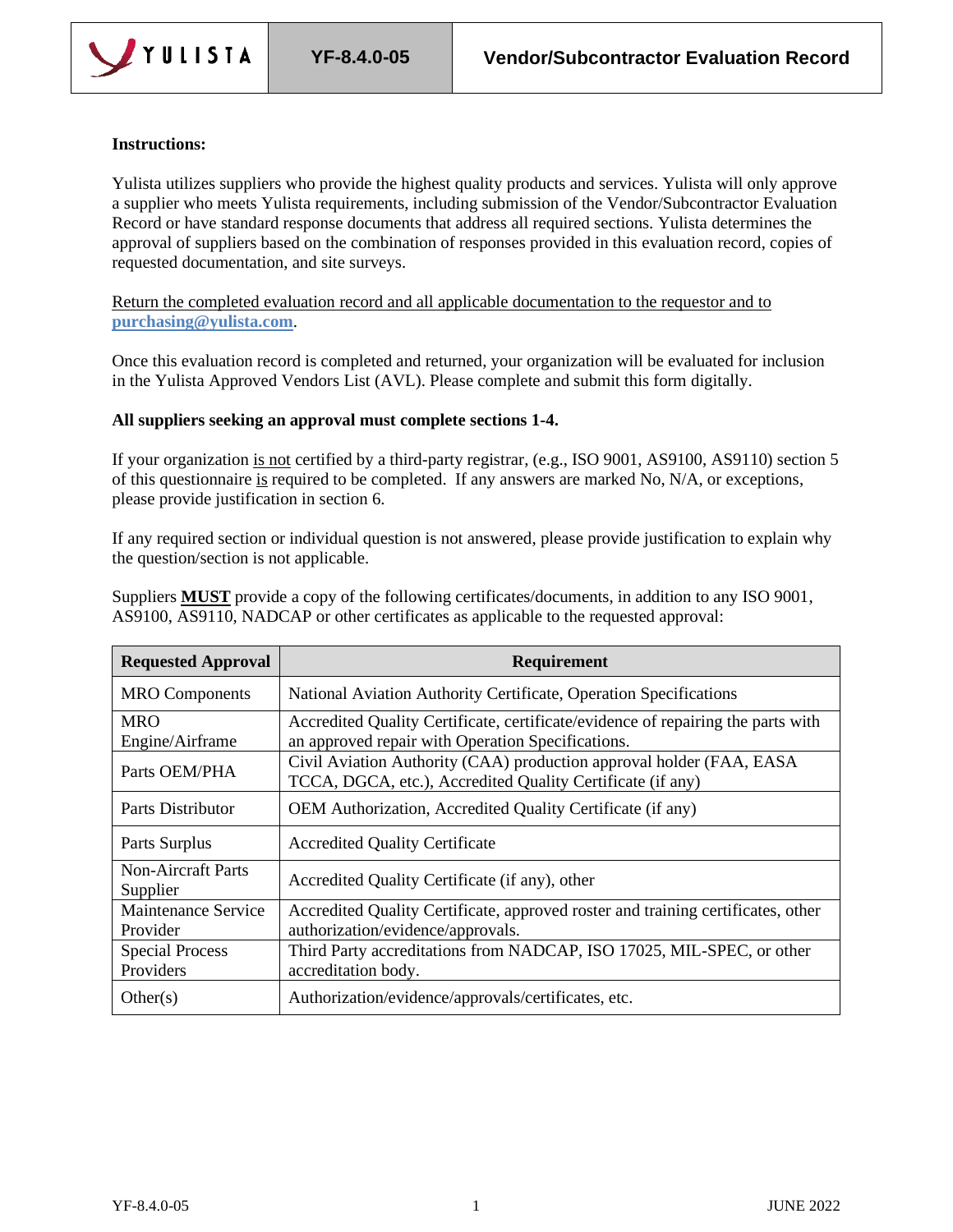

## **Instructions:**

Yulista utilizes suppliers who provide the highest quality products and services. Yulista will only approve a supplier who meets Yulista requirements, including submission of the Vendor/Subcontractor Evaluation Record or have standard response documents that address all required sections. Yulista determines the approval of suppliers based on the combination of responses provided in this evaluation record, copies of requested documentation, and site surveys.

Return the completed evaluation record and all applicable documentation to the requestor and to **[purchasing@yulista.com](mailto:purchasing@yulista.com)**.

Once this evaluation record is completed and returned, your organization will be evaluated for inclusion in the Yulista Approved Vendors List (AVL). Please complete and submit this form digitally.

## **All suppliers seeking an approval must complete sections 1-4.**

If your organization is not certified by a third-party registrar, (e.g., ISO 9001, AS9100, AS9110) section 5 of this questionnaire is required to be completed. If any answers are marked No, N/A, or exceptions, please provide justification in section 6.

If any required section or individual question is not answered, please provide justification to explain why the question/section is not applicable.

Suppliers **MUST** provide a copy of the following certificates/documents, in addition to any ISO 9001, AS9100, AS9110, NADCAP or other certificates as applicable to the requested approval:

| <b>Requested Approval</b>              | <b>Requirement</b>                                                                                                                    |
|----------------------------------------|---------------------------------------------------------------------------------------------------------------------------------------|
| <b>MRO</b> Components                  | National Aviation Authority Certificate, Operation Specifications                                                                     |
| <b>MRO</b><br>Engine/Airframe          | Accredited Quality Certificate, certificate/evidence of repairing the parts with<br>an approved repair with Operation Specifications. |
| Parts OEM/PHA                          | Civil Aviation Authority (CAA) production approval holder (FAA, EASA<br>TCCA, DGCA, etc.), Accredited Quality Certificate (if any)    |
| Parts Distributor                      | OEM Authorization, Accredited Quality Certificate (if any)                                                                            |
| Parts Surplus                          | <b>Accredited Quality Certificate</b>                                                                                                 |
| Non-Aircraft Parts<br>Supplier         | Accredited Quality Certificate (if any), other                                                                                        |
| <b>Maintenance Service</b><br>Provider | Accredited Quality Certificate, approved roster and training certificates, other<br>authorization/evidence/approvals.                 |
| <b>Special Process</b><br>Providers    | Third Party accreditations from NADCAP, ISO 17025, MIL-SPEC, or other<br>accreditation body.                                          |
| Other(s)                               | Authorization/evidence/approvals/certificates, etc.                                                                                   |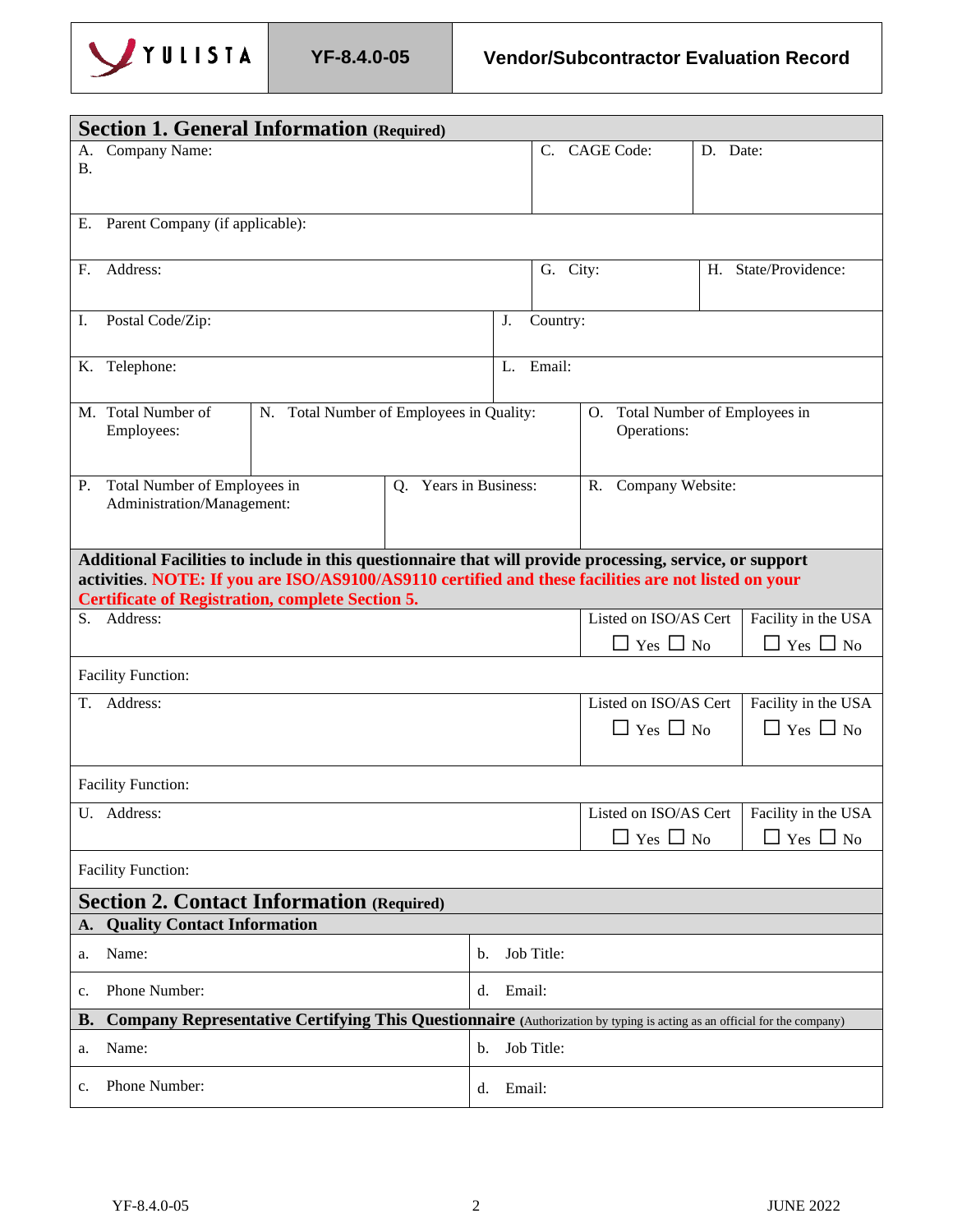

| <b>Section 1. General Information (Required)</b> |                                                                                                                                                                                                                 |                                          |                          |           |             |                                 |          |                                             |
|--------------------------------------------------|-----------------------------------------------------------------------------------------------------------------------------------------------------------------------------------------------------------------|------------------------------------------|--------------------------|-----------|-------------|---------------------------------|----------|---------------------------------------------|
| А.                                               | Company Name:                                                                                                                                                                                                   |                                          |                          |           | $C_{\cdot}$ | CAGE Code:                      | D. Date: |                                             |
| В.                                               |                                                                                                                                                                                                                 |                                          |                          |           |             |                                 |          |                                             |
|                                                  |                                                                                                                                                                                                                 |                                          |                          |           |             |                                 |          |                                             |
|                                                  | E. Parent Company (if applicable):                                                                                                                                                                              |                                          |                          |           |             |                                 |          |                                             |
| F.                                               | Address:                                                                                                                                                                                                        |                                          |                          |           | G. City:    |                                 |          | H. State/Providence:                        |
|                                                  |                                                                                                                                                                                                                 |                                          |                          |           |             |                                 |          |                                             |
| I.                                               | Postal Code/Zip:                                                                                                                                                                                                |                                          |                          | J.        | Country:    |                                 |          |                                             |
|                                                  | K. Telephone:                                                                                                                                                                                                   |                                          |                          |           | L. Email:   |                                 |          |                                             |
|                                                  | M. Total Number of                                                                                                                                                                                              | N. Total Number of Employees in Quality: |                          |           |             | O. Total Number of Employees in |          |                                             |
|                                                  | Employees:                                                                                                                                                                                                      |                                          |                          |           |             | Operations:                     |          |                                             |
|                                                  |                                                                                                                                                                                                                 |                                          |                          |           |             |                                 |          |                                             |
| <b>P.</b>                                        | Total Number of Employees in                                                                                                                                                                                    |                                          | Years in Business:<br>O. |           |             | R. Company Website:             |          |                                             |
|                                                  | Administration/Management:                                                                                                                                                                                      |                                          |                          |           |             |                                 |          |                                             |
|                                                  |                                                                                                                                                                                                                 |                                          |                          |           |             |                                 |          |                                             |
|                                                  | Additional Facilities to include in this questionnaire that will provide processing, service, or support<br>activities NOTE: If you are ISO/AS9100/AS9110 certified and these facilities are not listed on your |                                          |                          |           |             |                                 |          |                                             |
|                                                  | <b>Certificate of Registration, complete Section 5.</b>                                                                                                                                                         |                                          |                          |           |             |                                 |          |                                             |
|                                                  | S. Address:                                                                                                                                                                                                     |                                          |                          |           |             | Listed on ISO/AS Cert           |          | Facility in the USA                         |
|                                                  |                                                                                                                                                                                                                 |                                          |                          |           |             | $\Box$ Yes $\Box$ No            |          | $\Box$ Yes $\Box$ No                        |
|                                                  | <b>Facility Function:</b>                                                                                                                                                                                       |                                          |                          |           |             |                                 |          |                                             |
| Т.                                               | Address:                                                                                                                                                                                                        |                                          |                          |           |             | Listed on ISO/AS Cert           |          | Facility in the USA                         |
|                                                  |                                                                                                                                                                                                                 |                                          |                          |           |             | $\Box$ Yes $\Box$ No            |          | $\Box$ Yes $\Box$ No                        |
|                                                  |                                                                                                                                                                                                                 |                                          |                          |           |             |                                 |          |                                             |
|                                                  | <b>Facility Function:</b>                                                                                                                                                                                       |                                          |                          |           |             |                                 |          |                                             |
|                                                  | U. Address:                                                                                                                                                                                                     |                                          |                          |           |             |                                 |          | Listed on ISO/AS Cert   Facility in the USA |
|                                                  |                                                                                                                                                                                                                 |                                          |                          |           |             | Yes $\Box$ No                   |          | $\blacksquare$<br>Yes $\Box$ No             |
|                                                  | <b>Facility Function:</b>                                                                                                                                                                                       |                                          |                          |           |             |                                 |          |                                             |
|                                                  | <b>Section 2. Contact Information (Required)</b>                                                                                                                                                                |                                          |                          |           |             |                                 |          |                                             |
| A.                                               | <b>Quality Contact Information</b>                                                                                                                                                                              |                                          |                          |           |             |                                 |          |                                             |
| a.                                               | Name:                                                                                                                                                                                                           |                                          | b.                       |           | Job Title:  |                                 |          |                                             |
| c.                                               | Phone Number:                                                                                                                                                                                                   |                                          |                          | d. Email: |             |                                 |          |                                             |
| <b>B.</b>                                        | Company Representative Certifying This Questionnaire (Authorization by typing is acting as an official for the company)                                                                                         |                                          |                          |           |             |                                 |          |                                             |
| a.                                               | Name:                                                                                                                                                                                                           |                                          | b.                       |           | Job Title:  |                                 |          |                                             |
| Phone Number:<br>c.<br>Email:<br>d.              |                                                                                                                                                                                                                 |                                          |                          |           |             |                                 |          |                                             |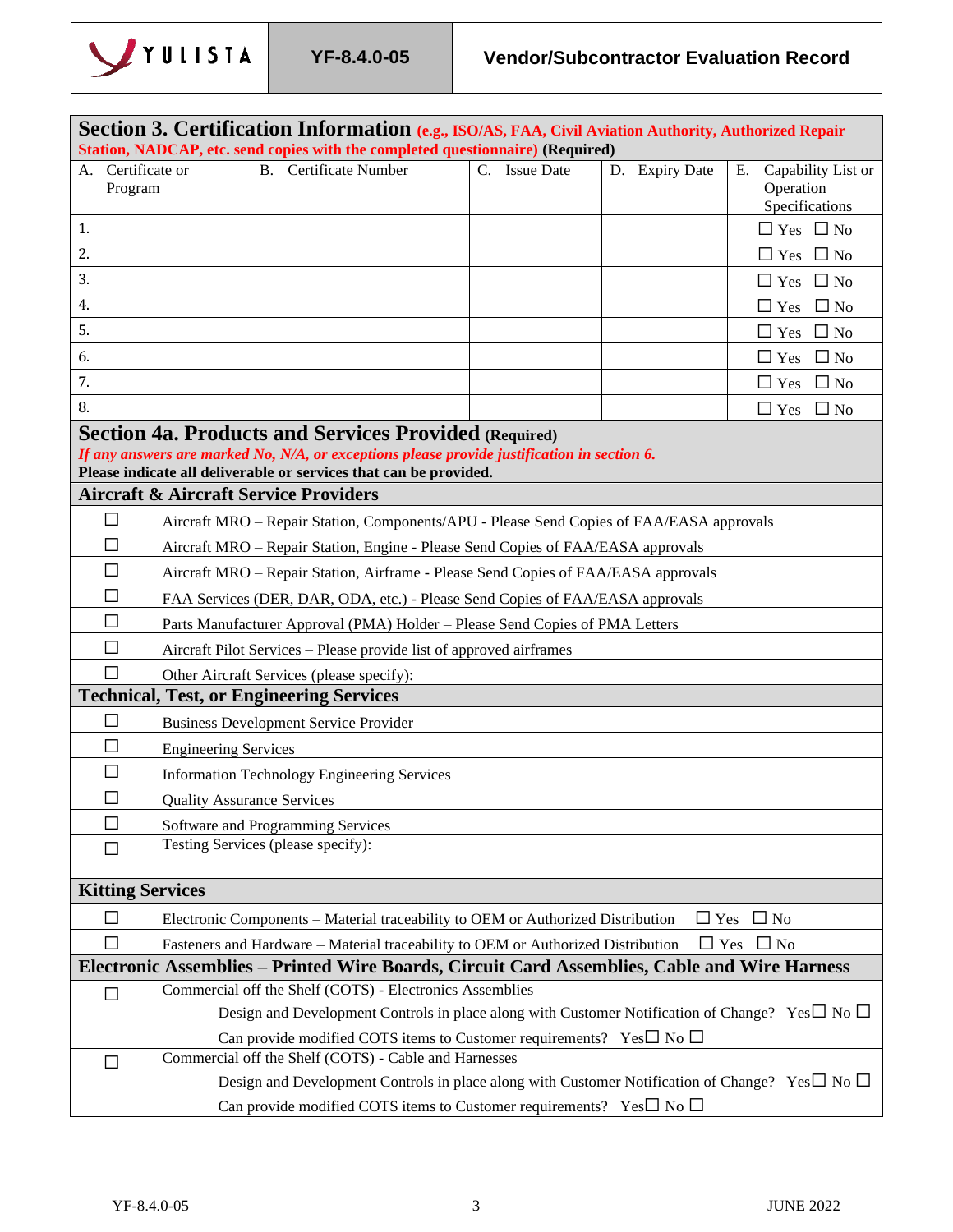

|                              |                                   | Section 3. Certification Information (e.g., ISO/AS, FAA, Civil Aviation Authority, Authorized Repair<br>Station, NADCAP, etc. send copies with the completed questionnaire) (Required)                                           |               |                |                                                         |
|------------------------------|-----------------------------------|----------------------------------------------------------------------------------------------------------------------------------------------------------------------------------------------------------------------------------|---------------|----------------|---------------------------------------------------------|
| A. Certificate or<br>Program |                                   | <b>B.</b> Certificate Number                                                                                                                                                                                                     | C. Issue Date | D. Expiry Date | Capability List or<br>Ε.<br>Operation<br>Specifications |
| 1.                           |                                   |                                                                                                                                                                                                                                  |               |                | $\Box$ Yes $\Box$ No                                    |
| 2.                           |                                   |                                                                                                                                                                                                                                  |               |                | $\Box$ Yes $\Box$ No                                    |
| 3.                           |                                   |                                                                                                                                                                                                                                  |               |                | $\Box$ Yes $\Box$ No                                    |
| 4.                           |                                   |                                                                                                                                                                                                                                  |               |                | $\Box$ Yes<br>$\Box$ No                                 |
| 5.                           |                                   |                                                                                                                                                                                                                                  |               |                | $\Box$ Yes $\Box$ No                                    |
| 6.                           |                                   |                                                                                                                                                                                                                                  |               |                | $\Box$ No<br>$\Box$ Yes                                 |
| 7.                           |                                   |                                                                                                                                                                                                                                  |               |                | $\Box$ Yes<br>$\Box$ No                                 |
| 8.                           |                                   |                                                                                                                                                                                                                                  |               |                | $\Box$ Yes $\Box$ No                                    |
|                              |                                   | <b>Section 4a. Products and Services Provided (Required)</b><br>If any answers are marked No, N/A, or exceptions please provide justification in section 6.<br>Please indicate all deliverable or services that can be provided. |               |                |                                                         |
|                              |                                   | <b>Aircraft &amp; Aircraft Service Providers</b>                                                                                                                                                                                 |               |                |                                                         |
| $\Box$                       |                                   | Aircraft MRO - Repair Station, Components/APU - Please Send Copies of FAA/EASA approvals                                                                                                                                         |               |                |                                                         |
| $\Box$                       |                                   | Aircraft MRO - Repair Station, Engine - Please Send Copies of FAA/EASA approvals                                                                                                                                                 |               |                |                                                         |
| □                            |                                   | Aircraft MRO - Repair Station, Airframe - Please Send Copies of FAA/EASA approvals                                                                                                                                               |               |                |                                                         |
| □                            |                                   | FAA Services (DER, DAR, ODA, etc.) - Please Send Copies of FAA/EASA approvals                                                                                                                                                    |               |                |                                                         |
| $\overline{\phantom{a}}$     |                                   | Parts Manufacturer Approval (PMA) Holder - Please Send Copies of PMA Letters                                                                                                                                                     |               |                |                                                         |
| П                            |                                   | Aircraft Pilot Services – Please provide list of approved airframes                                                                                                                                                              |               |                |                                                         |
|                              |                                   | Other Aircraft Services (please specify):<br><b>Technical, Test, or Engineering Services</b>                                                                                                                                     |               |                |                                                         |
| □                            |                                   | <b>Business Development Service Provider</b>                                                                                                                                                                                     |               |                |                                                         |
| □                            |                                   |                                                                                                                                                                                                                                  |               |                |                                                         |
| $\Box$                       | <b>Engineering Services</b>       | <b>Information Technology Engineering Services</b>                                                                                                                                                                               |               |                |                                                         |
| $\Box$                       | <b>Quality Assurance Services</b> |                                                                                                                                                                                                                                  |               |                |                                                         |
| $\Box$                       |                                   | Software and Programming Services                                                                                                                                                                                                |               |                |                                                         |
| П                            |                                   | Testing Services (please specify):                                                                                                                                                                                               |               |                |                                                         |
|                              |                                   |                                                                                                                                                                                                                                  |               |                |                                                         |
| <b>Kitting Services</b>      |                                   |                                                                                                                                                                                                                                  |               |                |                                                         |
| $\Box$                       |                                   | Electronic Components - Material traceability to OEM or Authorized Distribution                                                                                                                                                  |               | $\Box$ Yes     | $\Box$ No                                               |
| П                            |                                   | Fasteners and Hardware - Material traceability to OEM or Authorized Distribution                                                                                                                                                 |               |                | $\Box$ Yes $\Box$ No                                    |
|                              |                                   | Electronic Assemblies – Printed Wire Boards, Circuit Card Assemblies, Cable and Wire Harness                                                                                                                                     |               |                |                                                         |
| □                            |                                   | Commercial off the Shelf (COTS) - Electronics Assemblies                                                                                                                                                                         |               |                |                                                         |
|                              |                                   | Design and Development Controls in place along with Customer Notification of Change? Yes $\square$ No $\square$                                                                                                                  |               |                |                                                         |
|                              |                                   | Can provide modified COTS items to Customer requirements? Yes $\square$ No $\square$                                                                                                                                             |               |                |                                                         |
| $\Box$                       |                                   | Commercial off the Shelf (COTS) - Cable and Harnesses<br>Design and Development Controls in place along with Customer Notification of Change? Yes $\square$ No $\square$                                                         |               |                |                                                         |
|                              |                                   | Can provide modified COTS items to Customer requirements? Yes $\square$ No $\square$                                                                                                                                             |               |                |                                                         |
|                              |                                   |                                                                                                                                                                                                                                  |               |                |                                                         |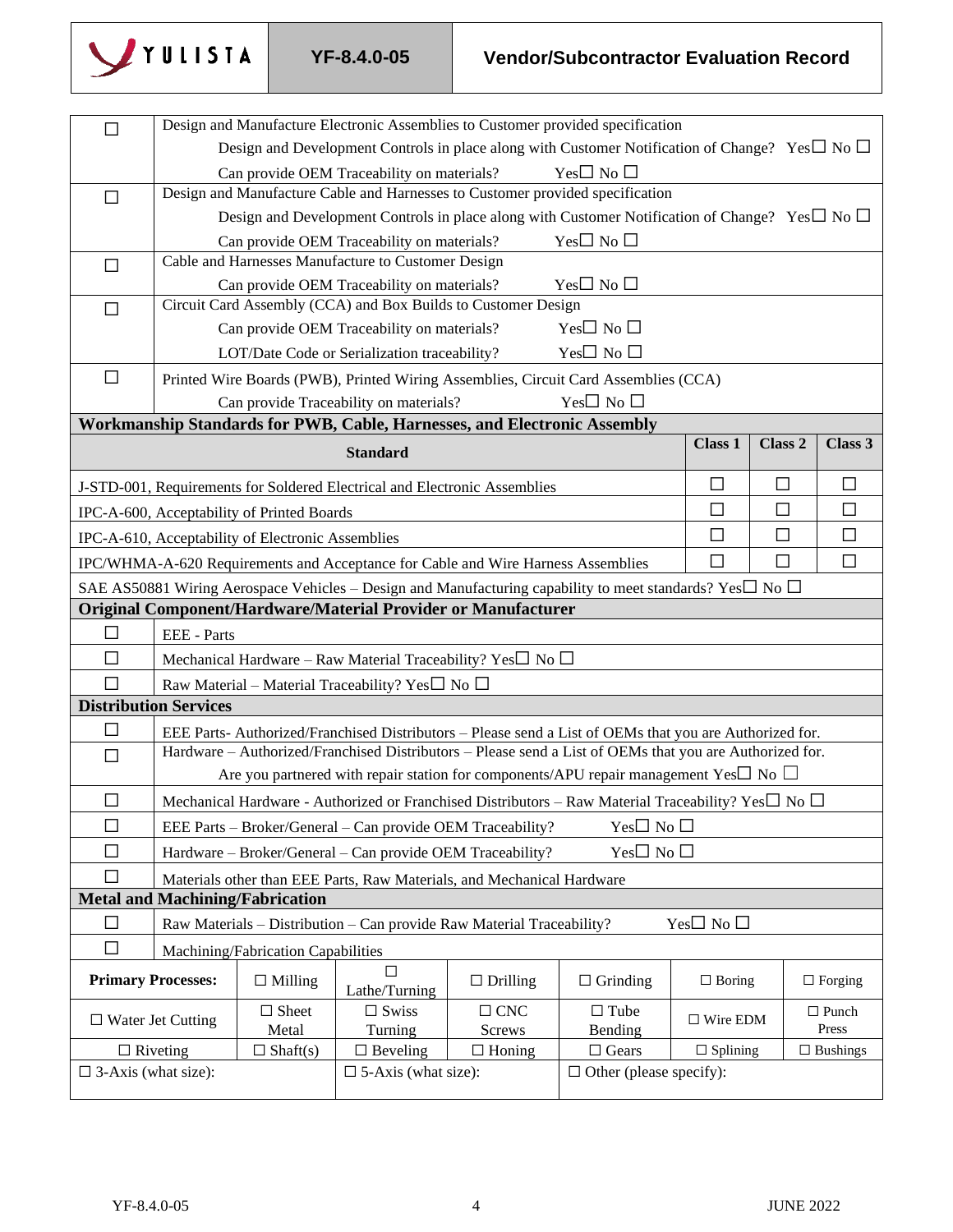

| $\Box$                        |                                                                                                                 |                                                   |                                                                                  |                             | Design and Manufacture Electronic Assemblies to Customer provided specification                                     |                    |                    |                       |
|-------------------------------|-----------------------------------------------------------------------------------------------------------------|---------------------------------------------------|----------------------------------------------------------------------------------|-----------------------------|---------------------------------------------------------------------------------------------------------------------|--------------------|--------------------|-----------------------|
|                               | Design and Development Controls in place along with Customer Notification of Change? Yes $\square$ No $\square$ |                                                   |                                                                                  |                             |                                                                                                                     |                    |                    |                       |
|                               |                                                                                                                 |                                                   | Can provide OEM Traceability on materials?                                       |                             | Yes $\square$ No $\square$                                                                                          |                    |                    |                       |
| $\Box$                        |                                                                                                                 |                                                   |                                                                                  |                             | Design and Manufacture Cable and Harnesses to Customer provided specification                                       |                    |                    |                       |
|                               |                                                                                                                 |                                                   |                                                                                  |                             | Design and Development Controls in place along with Customer Notification of Change? Yes $\square$ No $\square$     |                    |                    |                       |
|                               |                                                                                                                 |                                                   | Can provide OEM Traceability on materials?                                       |                             | Yes $\Box$ No $\Box$                                                                                                |                    |                    |                       |
| □                             |                                                                                                                 |                                                   | Cable and Harnesses Manufacture to Customer Design                               |                             |                                                                                                                     |                    |                    |                       |
|                               |                                                                                                                 |                                                   | Can provide OEM Traceability on materials?                                       |                             | $Yes \Box No \Box$                                                                                                  |                    |                    |                       |
| $\Box$                        |                                                                                                                 |                                                   | Circuit Card Assembly (CCA) and Box Builds to Customer Design                    |                             |                                                                                                                     |                    |                    |                       |
|                               |                                                                                                                 |                                                   | Can provide OEM Traceability on materials?                                       |                             | $Yes \Box No \Box$                                                                                                  |                    |                    |                       |
|                               |                                                                                                                 |                                                   | LOT/Date Code or Serialization traceability?                                     |                             | $Yes \Box No \Box$                                                                                                  |                    |                    |                       |
| $\Box$                        |                                                                                                                 |                                                   |                                                                                  |                             | Printed Wire Boards (PWB), Printed Wiring Assemblies, Circuit Card Assemblies (CCA)                                 |                    |                    |                       |
|                               |                                                                                                                 |                                                   | Can provide Traceability on materials?                                           |                             | $Yes \Box No \Box$                                                                                                  |                    |                    |                       |
|                               |                                                                                                                 |                                                   | Workmanship Standards for PWB, Cable, Harnesses, and Electronic Assembly         |                             |                                                                                                                     |                    |                    |                       |
|                               |                                                                                                                 |                                                   | <b>Standard</b>                                                                  |                             |                                                                                                                     | Class 1            | Class <sub>2</sub> | Class 3               |
|                               |                                                                                                                 |                                                   | J-STD-001, Requirements for Soldered Electrical and Electronic Assemblies        |                             |                                                                                                                     | $\Box$             | $\Box$             | $\Box$                |
|                               |                                                                                                                 | IPC-A-600, Acceptability of Printed Boards        |                                                                                  |                             |                                                                                                                     | $\Box$             | $\Box$             | $\Box$                |
|                               |                                                                                                                 | IPC-A-610, Acceptability of Electronic Assemblies |                                                                                  |                             |                                                                                                                     | $\Box$             | $\Box$             | $\Box$                |
|                               |                                                                                                                 |                                                   | IPC/WHMA-A-620 Requirements and Acceptance for Cable and Wire Harness Assemblies |                             |                                                                                                                     | $\Box$             | $\Box$             | $\Box$                |
|                               |                                                                                                                 |                                                   |                                                                                  |                             | SAE AS50881 Wiring Aerospace Vehicles – Design and Manufacturing capability to meet standards? Yes $\Box$ No $\Box$ |                    |                    |                       |
|                               |                                                                                                                 |                                                   | Original Component/Hardware/Material Provider or Manufacturer                    |                             |                                                                                                                     |                    |                    |                       |
| $\Box$                        | EEE - Parts                                                                                                     |                                                   |                                                                                  |                             |                                                                                                                     |                    |                    |                       |
| $\Box$                        |                                                                                                                 |                                                   | Mechanical Hardware – Raw Material Traceability? Yes $\square$ No $\square$      |                             |                                                                                                                     |                    |                    |                       |
| П                             |                                                                                                                 |                                                   | Raw Material - Material Traceability? Yes $\square$ No $\square$                 |                             |                                                                                                                     |                    |                    |                       |
|                               | <b>Distribution Services</b>                                                                                    |                                                   |                                                                                  |                             |                                                                                                                     |                    |                    |                       |
| $\Box$                        |                                                                                                                 |                                                   |                                                                                  |                             | EEE Parts- Authorized/Franchised Distributors - Please send a List of OEMs that you are Authorized for.             |                    |                    |                       |
| $\Box$                        |                                                                                                                 |                                                   |                                                                                  |                             | Hardware – Authorized/Franchised Distributors – Please send a List of OEMs that you are Authorized for.             |                    |                    |                       |
|                               |                                                                                                                 |                                                   |                                                                                  |                             | Are you partnered with repair station for components/APU repair management Yes $\square$ No $\square$               |                    |                    |                       |
| $\Box$                        |                                                                                                                 |                                                   |                                                                                  |                             | Mechanical Hardware - Authorized or Franchised Distributors - Raw Material Traceability? Yes□ No □                  |                    |                    |                       |
| $\Box$                        |                                                                                                                 |                                                   | EEE Parts - Broker/General - Can provide OEM Traceability?                       |                             | $Yes \Box No \Box$                                                                                                  |                    |                    |                       |
| П                             |                                                                                                                 |                                                   | Hardware - Broker/General - Can provide OEM Traceability?                        |                             | $Yes \Box No \Box$                                                                                                  |                    |                    |                       |
| $\Box$                        |                                                                                                                 |                                                   | Materials other than EEE Parts, Raw Materials, and Mechanical Hardware           |                             |                                                                                                                     |                    |                    |                       |
|                               |                                                                                                                 | <b>Metal and Machining/Fabrication</b>            |                                                                                  |                             |                                                                                                                     |                    |                    |                       |
| $\Box$                        |                                                                                                                 |                                                   | Raw Materials - Distribution - Can provide Raw Material Traceability?            |                             |                                                                                                                     | $Yes \Box No \Box$ |                    |                       |
| $\Box$                        |                                                                                                                 | Machining/Fabrication Capabilities                |                                                                                  |                             |                                                                                                                     |                    |                    |                       |
| <b>Primary Processes:</b>     |                                                                                                                 | $\Box$ Milling                                    | Lathe/Turning                                                                    | $\Box$ Drilling             | $\Box$ Grinding                                                                                                     | $\Box$ Boring      |                    | $\Box$ Forging        |
| $\Box$ Water Jet Cutting      |                                                                                                                 | $\Box$ Sheet<br>Metal                             | $\Box$ Swiss<br>Turning                                                          | $\Box$ CNC<br><b>Screws</b> | $\Box$ Tube<br>Bending                                                                                              | $\Box$ Wire EDM    |                    | $\Box$ Punch<br>Press |
| $\Box$ Riveting               |                                                                                                                 | $\Box$ Shaft(s)                                   | $\Box$ Beveling                                                                  | $\Box$ Honing               | $\Box$ Gears                                                                                                        | $\Box$ Splining    |                    | $\Box$ Bushings       |
| $\square$ 3-Axis (what size): |                                                                                                                 |                                                   | $\square$ 5-Axis (what size):                                                    |                             | $\Box$ Other (please specify):                                                                                      |                    |                    |                       |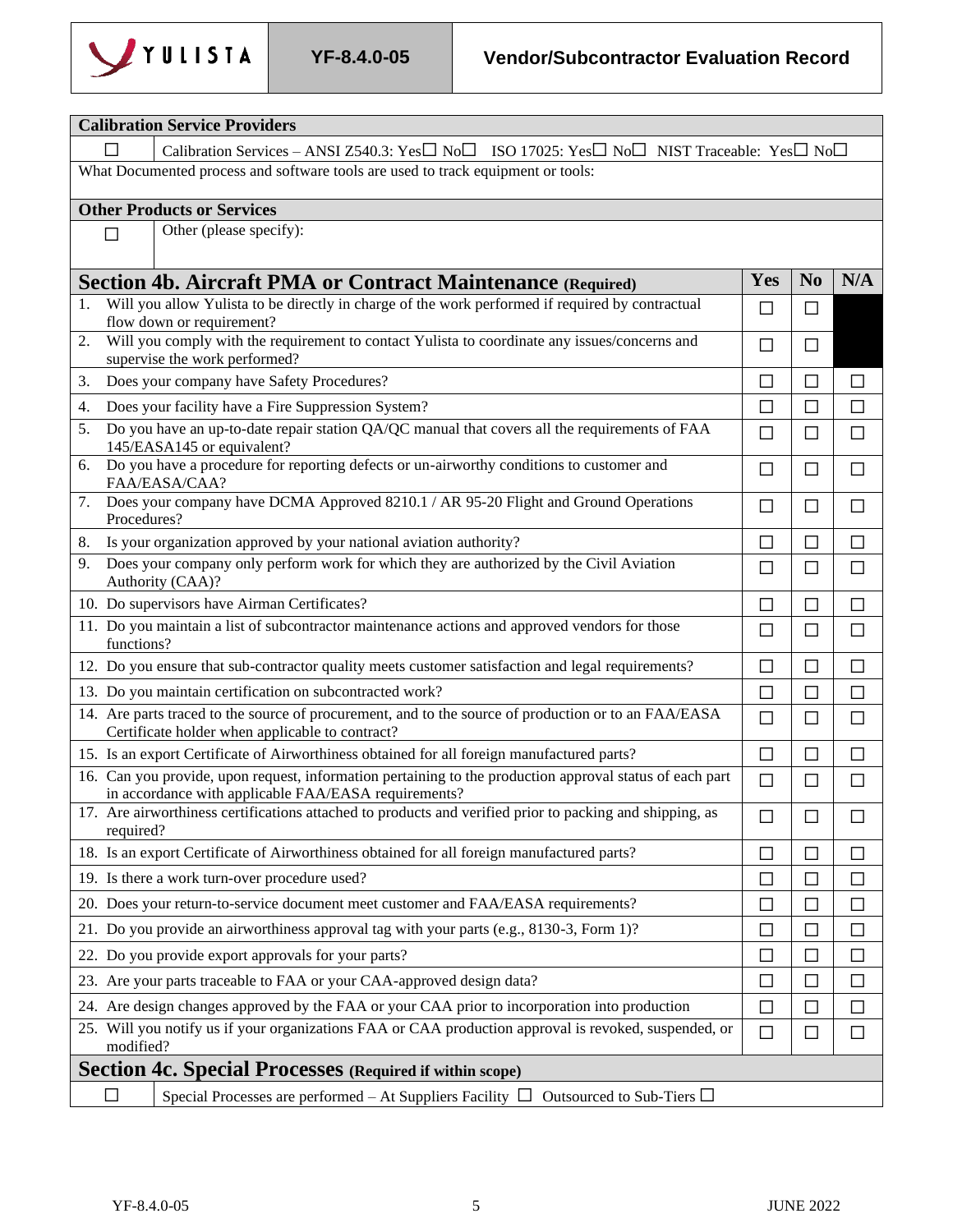

п

| <b>Calibration Service Providers</b>                                                                                                                             |                                                                                                                               |                |              |  |  |  |
|------------------------------------------------------------------------------------------------------------------------------------------------------------------|-------------------------------------------------------------------------------------------------------------------------------|----------------|--------------|--|--|--|
|                                                                                                                                                                  | Calibration Services – ANSI Z540.3: Yes $\Box$ No $\Box$ ISO 17025: Yes $\Box$ No $\Box$ NIST Traceable: Yes $\Box$ No $\Box$ |                |              |  |  |  |
| What Documented process and software tools are used to track equipment or tools:                                                                                 |                                                                                                                               |                |              |  |  |  |
| <b>Other Products or Services</b>                                                                                                                                |                                                                                                                               |                |              |  |  |  |
| Other (please specify):<br>П                                                                                                                                     |                                                                                                                               |                |              |  |  |  |
| <b>Section 4b. Aircraft PMA or Contract Maintenance (Required)</b>                                                                                               | Yes                                                                                                                           | N <sub>0</sub> | N/A          |  |  |  |
| Will you allow Yulista to be directly in charge of the work performed if required by contractual<br>1.<br>flow down or requirement?                              | П                                                                                                                             | □              |              |  |  |  |
| Will you comply with the requirement to contact Yulista to coordinate any issues/concerns and<br>2.<br>supervise the work performed?                             | □                                                                                                                             | $\Box$         |              |  |  |  |
| Does your company have Safety Procedures?<br>3.                                                                                                                  | □                                                                                                                             | $\Box$         | П            |  |  |  |
| Does your facility have a Fire Suppression System?<br>4.                                                                                                         | П                                                                                                                             | П              | П            |  |  |  |
| Do you have an up-to-date repair station QA/QC manual that covers all the requirements of FAA<br>5.<br>145/EASA145 or equivalent?                                | $\Box$                                                                                                                        | □              | $\Box$       |  |  |  |
| Do you have a procedure for reporting defects or un-airworthy conditions to customer and<br>6.<br>FAA/EASA/CAA?                                                  | □                                                                                                                             | □              | □            |  |  |  |
| Does your company have DCMA Approved 8210.1 / AR 95-20 Flight and Ground Operations<br>7.<br>Procedures?                                                         | $\Box$                                                                                                                        | $\Box$         | □            |  |  |  |
| Is your organization approved by your national aviation authority?<br>8.                                                                                         | $\Box$                                                                                                                        | $\Box$         | $\Box$       |  |  |  |
| Does your company only perform work for which they are authorized by the Civil Aviation<br>9.<br>Authority (CAA)?                                                | □                                                                                                                             | $\Box$         | $\Box$       |  |  |  |
| 10. Do supervisors have Airman Certificates?<br>$\Box$<br>$\Box$<br>П                                                                                            |                                                                                                                               |                |              |  |  |  |
| 11. Do you maintain a list of subcontractor maintenance actions and approved vendors for those<br>functions?                                                     | $\Box$                                                                                                                        | $\Box$         | $\Box$       |  |  |  |
| 12. Do you ensure that sub-contractor quality meets customer satisfaction and legal requirements?                                                                | $\Box$                                                                                                                        | П              | $\Box$       |  |  |  |
| 13. Do you maintain certification on subcontracted work?                                                                                                         | $\mathsf{L}$                                                                                                                  | ΙI             | П            |  |  |  |
| 14. Are parts traced to the source of procurement, and to the source of production or to an FAA/EASA<br>Certificate holder when applicable to contract?          | $\Box$                                                                                                                        | □              | □            |  |  |  |
| 15. Is an export Certificate of Airworthiness obtained for all foreign manufactured parts?                                                                       | $\Box$                                                                                                                        | П              | П            |  |  |  |
| 16. Can you provide, upon request, information pertaining to the production approval status of each part<br>in accordance with applicable FAA/EASA requirements? | $\Box$                                                                                                                        | $\Box$         | $\Box$       |  |  |  |
| 17. Are airworthiness certifications attached to products and verified prior to packing and shipping, as<br>required?                                            | $\Box$                                                                                                                        | $\Box$         | $\Box$       |  |  |  |
| 18. Is an export Certificate of Airworthiness obtained for all foreign manufactured parts?                                                                       | $\Box$                                                                                                                        | $\Box$         | П            |  |  |  |
| 19. Is there a work turn-over procedure used?                                                                                                                    | ப                                                                                                                             | $\Box$         | $\mathsf{L}$ |  |  |  |
| 20. Does your return-to-service document meet customer and FAA/EASA requirements?                                                                                | $\Box$                                                                                                                        | ΙI             | H            |  |  |  |
| 21. Do you provide an airworthiness approval tag with your parts (e.g., 8130-3, Form 1)?<br>$\Box$<br>$\mathsf{L}$<br>⊔                                          |                                                                                                                               |                |              |  |  |  |
| 22. Do you provide export approvals for your parts?                                                                                                              | □                                                                                                                             | □              | П            |  |  |  |
| 23. Are your parts traceable to FAA or your CAA-approved design data?                                                                                            | $\Box$                                                                                                                        | ΙI             | ΙI           |  |  |  |
| 24. Are design changes approved by the FAA or your CAA prior to incorporation into production<br>□<br>П<br>H                                                     |                                                                                                                               |                |              |  |  |  |
| 25. Will you notify us if your organizations FAA or CAA production approval is revoked, suspended, or<br>modified?                                               | $\Box$                                                                                                                        | □              | □            |  |  |  |
| <b>Section 4c. Special Processes</b> (Required if within scope)                                                                                                  |                                                                                                                               |                |              |  |  |  |
| $\Box$<br>Special Processes are performed – At Suppliers Facility $\Box$ Outsourced to Sub-Tiers $\Box$                                                          |                                                                                                                               |                |              |  |  |  |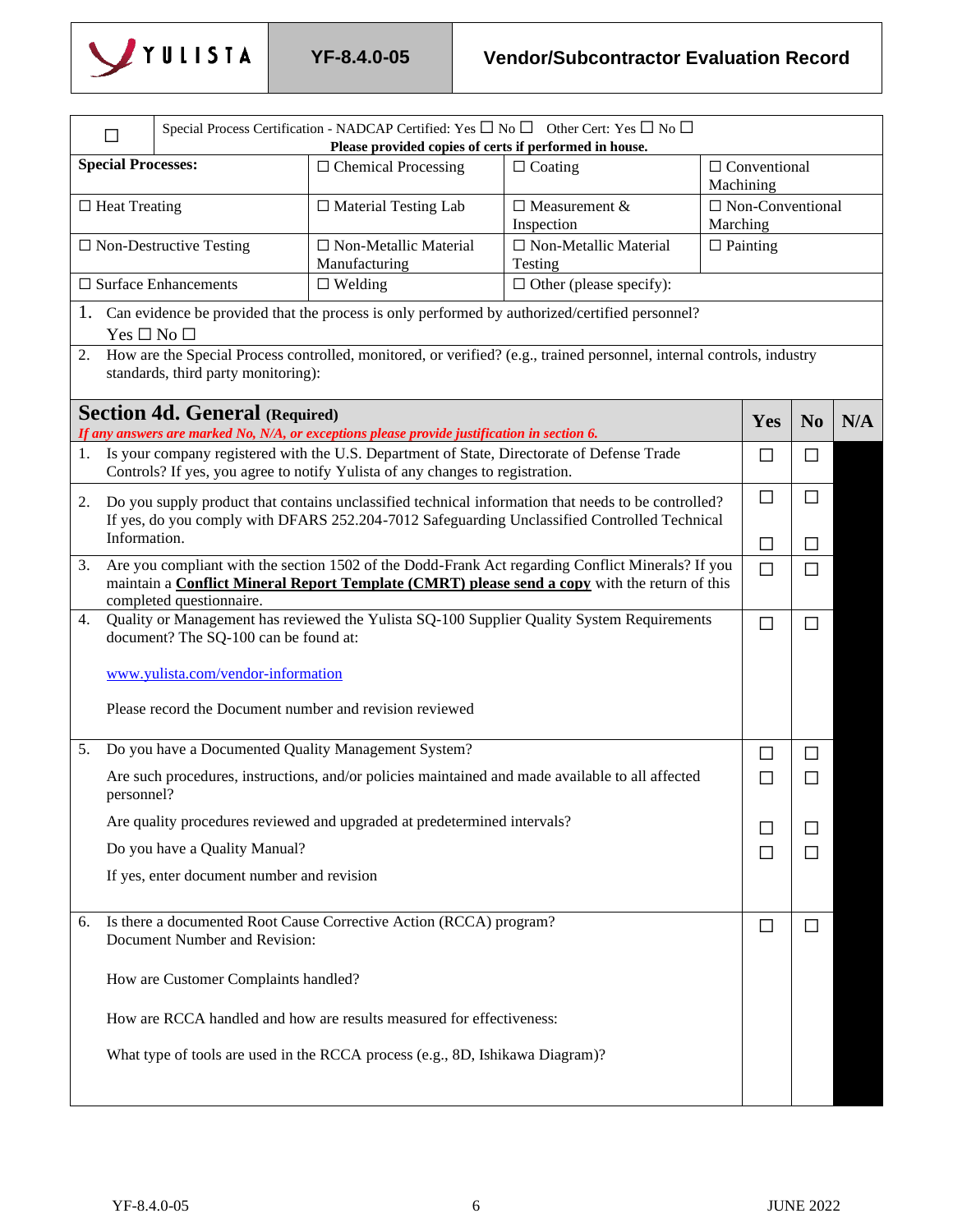

|    | Special Process Certification - NADCAP Certified: Yes $\Box$ No $\Box$ Other Cert: Yes $\Box$ No $\Box$<br>Please provided copies of certs if performed in house.                                                                     |                                            |                                                                                                                                                                                |                                                                                                                                                                                                     |                                                  |                 |                |     |  |
|----|---------------------------------------------------------------------------------------------------------------------------------------------------------------------------------------------------------------------------------------|--------------------------------------------|--------------------------------------------------------------------------------------------------------------------------------------------------------------------------------|-----------------------------------------------------------------------------------------------------------------------------------------------------------------------------------------------------|--------------------------------------------------|-----------------|----------------|-----|--|
|    | <b>Special Processes:</b><br>$\Box$ Chemical Processing<br>$\Box$ Coating                                                                                                                                                             |                                            |                                                                                                                                                                                |                                                                                                                                                                                                     | $\Box$ Conventional                              |                 |                |     |  |
|    | $\Box$ Heat Treating                                                                                                                                                                                                                  |                                            | $\Box$ Material Testing Lab                                                                                                                                                    | $\Box$ Measurement &<br>Inspection                                                                                                                                                                  | Machining<br>$\Box$ Non-Conventional<br>Marching |                 |                |     |  |
|    |                                                                                                                                                                                                                                       | $\Box$ Non-Destructive Testing             | $\Box$ Non-Metallic Material<br>Manufacturing                                                                                                                                  | $\Box$ Non-Metallic Material<br>Testing                                                                                                                                                             |                                                  | $\Box$ Painting |                |     |  |
|    |                                                                                                                                                                                                                                       | $\square$ Surface Enhancements             | $\Box$ Welding                                                                                                                                                                 | $\Box$ Other (please specify):                                                                                                                                                                      |                                                  |                 |                |     |  |
|    | $Yes \Box No \Box$                                                                                                                                                                                                                    |                                            |                                                                                                                                                                                | 1. Can evidence be provided that the process is only performed by authorized/certified personnel?                                                                                                   |                                                  |                 |                |     |  |
| 2. |                                                                                                                                                                                                                                       | standards, third party monitoring):        |                                                                                                                                                                                | How are the Special Process controlled, monitored, or verified? (e.g., trained personnel, internal controls, industry                                                                               |                                                  |                 |                |     |  |
|    |                                                                                                                                                                                                                                       | <b>Section 4d. General (Required)</b>      | If any answers are marked No, N/A, or exceptions please provide justification in section 6.                                                                                    |                                                                                                                                                                                                     |                                                  | Yes             | N <sub>0</sub> | N/A |  |
|    |                                                                                                                                                                                                                                       |                                            | 1. Is your company registered with the U.S. Department of State, Directorate of Defense Trade<br>Controls? If yes, you agree to notify Yulista of any changes to registration. |                                                                                                                                                                                                     |                                                  | П               | □              |     |  |
| 2. |                                                                                                                                                                                                                                       |                                            |                                                                                                                                                                                | Do you supply product that contains unclassified technical information that needs to be controlled?<br>If yes, do you comply with DFARS 252.204-7012 Safeguarding Unclassified Controlled Technical |                                                  | $\Box$          | $\Box$         |     |  |
|    | Information.                                                                                                                                                                                                                          |                                            |                                                                                                                                                                                |                                                                                                                                                                                                     |                                                  | П               | $\mathsf{L}$   |     |  |
| 3. | Are you compliant with the section 1502 of the Dodd-Frank Act regarding Conflict Minerals? If you<br>maintain a <b>Conflict Mineral Report Template (CMRT)</b> please send a copy with the return of this<br>completed questionnaire. |                                            |                                                                                                                                                                                |                                                                                                                                                                                                     |                                                  | $\Box$          | $\Box$         |     |  |
| 4. | Quality or Management has reviewed the Yulista SQ-100 Supplier Quality System Requirements<br>document? The SQ-100 can be found at:                                                                                                   |                                            |                                                                                                                                                                                |                                                                                                                                                                                                     |                                                  | $\Box$          | □              |     |  |
|    |                                                                                                                                                                                                                                       | www.yulista.com/vendor-information         |                                                                                                                                                                                |                                                                                                                                                                                                     |                                                  |                 |                |     |  |
|    |                                                                                                                                                                                                                                       |                                            | Please record the Document number and revision reviewed                                                                                                                        |                                                                                                                                                                                                     |                                                  |                 |                |     |  |
| 5. |                                                                                                                                                                                                                                       |                                            | Do you have a Documented Quality Management System?                                                                                                                            |                                                                                                                                                                                                     |                                                  | □               | $\Box$         |     |  |
|    | personnel?                                                                                                                                                                                                                            |                                            |                                                                                                                                                                                | Are such procedures, instructions, and/or policies maintained and made available to all affected                                                                                                    |                                                  | $\Box$          | $\Box$         |     |  |
|    |                                                                                                                                                                                                                                       |                                            | Are quality procedures reviewed and upgraded at predetermined intervals?                                                                                                       |                                                                                                                                                                                                     |                                                  |                 | H              |     |  |
|    |                                                                                                                                                                                                                                       | Do you have a Quality Manual?              |                                                                                                                                                                                |                                                                                                                                                                                                     |                                                  | □               | H              |     |  |
|    |                                                                                                                                                                                                                                       | If yes, enter document number and revision |                                                                                                                                                                                |                                                                                                                                                                                                     |                                                  |                 |                |     |  |
| 6. |                                                                                                                                                                                                                                       | Document Number and Revision:              | Is there a documented Root Cause Corrective Action (RCCA) program?                                                                                                             |                                                                                                                                                                                                     |                                                  | $\Box$          | $\Box$         |     |  |
|    |                                                                                                                                                                                                                                       | How are Customer Complaints handled?       |                                                                                                                                                                                |                                                                                                                                                                                                     |                                                  |                 |                |     |  |
|    |                                                                                                                                                                                                                                       |                                            | How are RCCA handled and how are results measured for effectiveness:                                                                                                           |                                                                                                                                                                                                     |                                                  |                 |                |     |  |
|    |                                                                                                                                                                                                                                       |                                            | What type of tools are used in the RCCA process (e.g., 8D, Ishikawa Diagram)?                                                                                                  |                                                                                                                                                                                                     |                                                  |                 |                |     |  |
|    |                                                                                                                                                                                                                                       |                                            |                                                                                                                                                                                |                                                                                                                                                                                                     |                                                  |                 |                |     |  |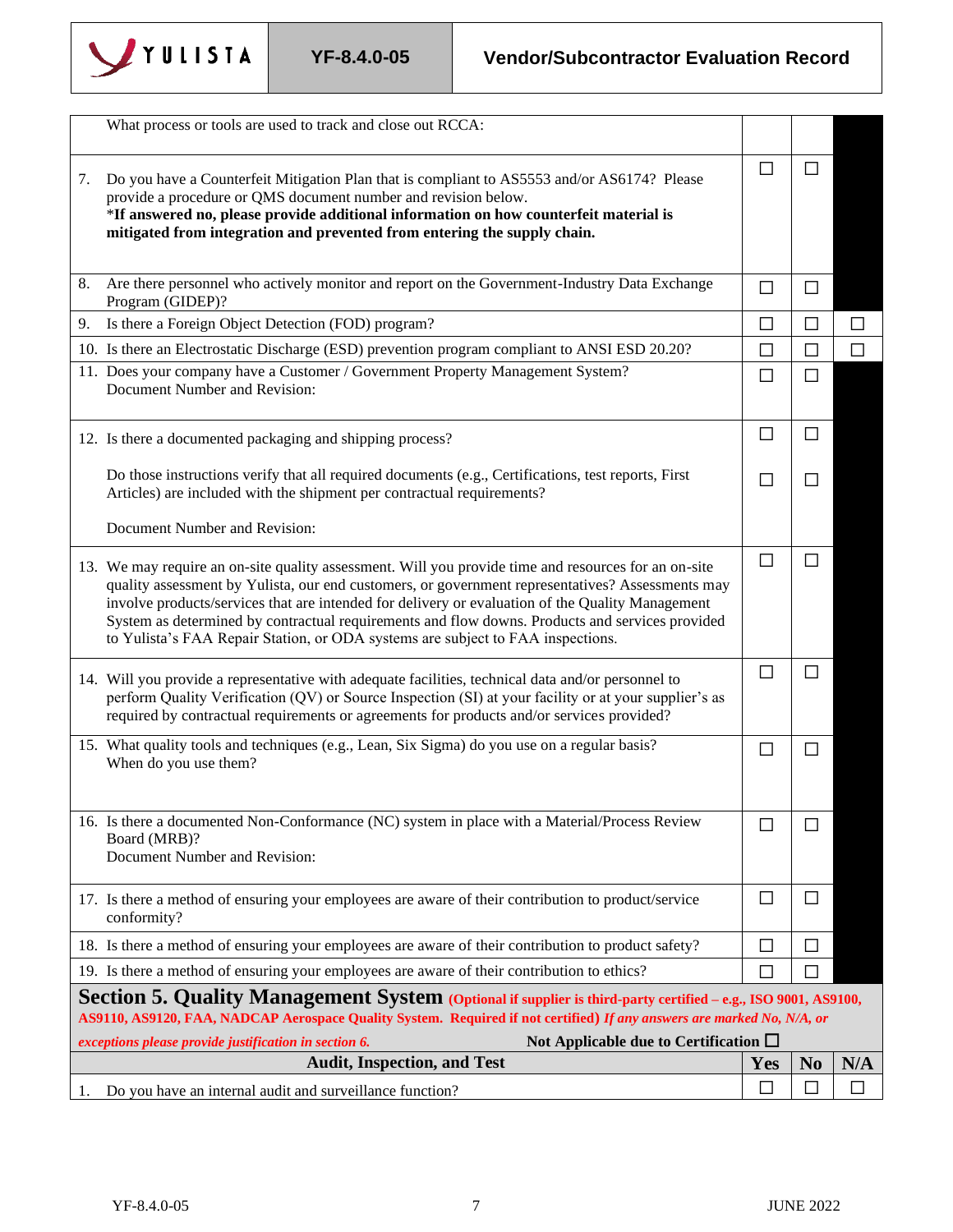

|    | What process or tools are used to track and close out RCCA:                                                                                                                                                                                                                                                                                                                                                                                                                                        |              |                |        |
|----|----------------------------------------------------------------------------------------------------------------------------------------------------------------------------------------------------------------------------------------------------------------------------------------------------------------------------------------------------------------------------------------------------------------------------------------------------------------------------------------------------|--------------|----------------|--------|
| 7. | Do you have a Counterfeit Mitigation Plan that is compliant to AS5553 and/or AS6174? Please<br>provide a procedure or QMS document number and revision below.<br>*If answered no, please provide additional information on how counterfeit material is<br>mitigated from integration and prevented from entering the supply chain.                                                                                                                                                                 | $\mathsf{L}$ | П              |        |
| 8. | Are there personnel who actively monitor and report on the Government-Industry Data Exchange<br>Program (GIDEP)?                                                                                                                                                                                                                                                                                                                                                                                   | $\Box$       | $\Box$         |        |
| 9. | Is there a Foreign Object Detection (FOD) program?                                                                                                                                                                                                                                                                                                                                                                                                                                                 | $\Box$       | $\Box$         | $\Box$ |
|    | 10. Is there an Electrostatic Discharge (ESD) prevention program compliant to ANSI ESD 20.20?                                                                                                                                                                                                                                                                                                                                                                                                      | $\Box$       | $\Box$         | П      |
|    | 11. Does your company have a Customer / Government Property Management System?<br>Document Number and Revision:                                                                                                                                                                                                                                                                                                                                                                                    | $\Box$       | $\Box$         |        |
|    | 12. Is there a documented packaging and shipping process?                                                                                                                                                                                                                                                                                                                                                                                                                                          | □            | $\Box$         |        |
|    | Do those instructions verify that all required documents (e.g., Certifications, test reports, First<br>Articles) are included with the shipment per contractual requirements?                                                                                                                                                                                                                                                                                                                      | $\mathsf{L}$ | $\mathbf{L}$   |        |
|    | Document Number and Revision:                                                                                                                                                                                                                                                                                                                                                                                                                                                                      |              |                |        |
|    | 13. We may require an on-site quality assessment. Will you provide time and resources for an on-site<br>quality assessment by Yulista, our end customers, or government representatives? Assessments may<br>involve products/services that are intended for delivery or evaluation of the Quality Management<br>System as determined by contractual requirements and flow downs. Products and services provided<br>to Yulista's FAA Repair Station, or ODA systems are subject to FAA inspections. | $\Box$       | $\Box$         |        |
|    | 14. Will you provide a representative with adequate facilities, technical data and/or personnel to<br>perform Quality Verification (QV) or Source Inspection (SI) at your facility or at your supplier's as<br>required by contractual requirements or agreements for products and/or services provided?                                                                                                                                                                                           | П            | $\Box$         |        |
|    | 15. What quality tools and techniques (e.g., Lean, Six Sigma) do you use on a regular basis?<br>When do you use them?                                                                                                                                                                                                                                                                                                                                                                              | П            | $\Box$         |        |
|    | 16. Is there a documented Non-Conformance (NC) system in place with a Material/Process Review<br>Board (MRB)?<br>Document Number and Revision:                                                                                                                                                                                                                                                                                                                                                     | □            | □              |        |
|    | 17. Is there a method of ensuring your employees are aware of their contribution to product/service<br>conformity?                                                                                                                                                                                                                                                                                                                                                                                 | $\Box$       | □              |        |
|    | 18. Is there a method of ensuring your employees are aware of their contribution to product safety?                                                                                                                                                                                                                                                                                                                                                                                                | □            | H              |        |
|    | 19. Is there a method of ensuring your employees are aware of their contribution to ethics?                                                                                                                                                                                                                                                                                                                                                                                                        | ΙI           | П              |        |
|    | Section 5. Quality Management System (Optional if supplier is third-party certified – e.g., ISO 9001, AS9100,<br>AS9110, AS9120, FAA, NADCAP Aerospace Quality System. Required if not certified) If any answers are marked No, N/A, or                                                                                                                                                                                                                                                            |              |                |        |
|    | Not Applicable due to Certification $\square$<br>exceptions please provide justification in section 6.                                                                                                                                                                                                                                                                                                                                                                                             |              |                |        |
|    | <b>Audit, Inspection, and Test</b>                                                                                                                                                                                                                                                                                                                                                                                                                                                                 | Yes          | N <sub>0</sub> | N/A    |
| 1. | Do you have an internal audit and surveillance function?                                                                                                                                                                                                                                                                                                                                                                                                                                           | □            | П              | П      |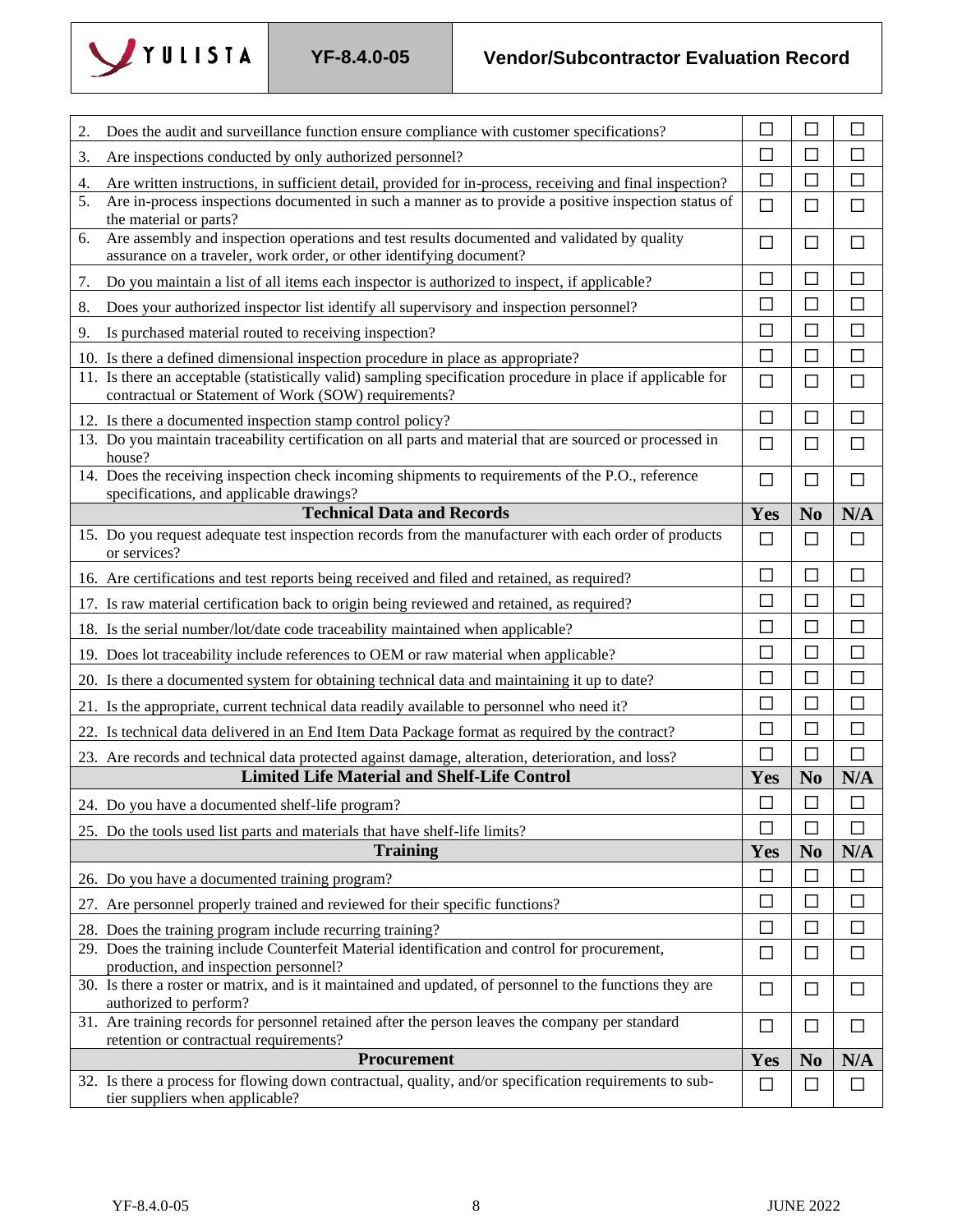

| 2. | Does the audit and surveillance function ensure compliance with customer specifications?                                                                             | П      |                | $\Box$ |
|----|----------------------------------------------------------------------------------------------------------------------------------------------------------------------|--------|----------------|--------|
| 3. | Are inspections conducted by only authorized personnel?                                                                                                              | $\Box$ | $\Box$         | П      |
| 4. | Are written instructions, in sufficient detail, provided for in-process, receiving and final inspection?                                                             | □      | П              |        |
| 5. | Are in-process inspections documented in such a manner as to provide a positive inspection status of<br>the material or parts?                                       | $\Box$ | $\Box$         | $\Box$ |
| 6. | Are assembly and inspection operations and test results documented and validated by quality<br>assurance on a traveler, work order, or other identifying document?   | $\Box$ | $\Box$         | $\Box$ |
| 7. | Do you maintain a list of all items each inspector is authorized to inspect, if applicable?                                                                          | $\Box$ | $\Box$         | $\Box$ |
| 8. | Does your authorized inspector list identify all supervisory and inspection personnel?                                                                               | $\Box$ | $\Box$         | $\Box$ |
| 9. | Is purchased material routed to receiving inspection?                                                                                                                | П      | $\Box$         | $\Box$ |
|    | 10. Is there a defined dimensional inspection procedure in place as appropriate?                                                                                     | $\Box$ | $\Box$         | $\Box$ |
|    | 11. Is there an acceptable (statistically valid) sampling specification procedure in place if applicable for<br>contractual or Statement of Work (SOW) requirements? | $\Box$ | $\Box$         | □      |
|    | 12. Is there a documented inspection stamp control policy?                                                                                                           | □      | П              | $\Box$ |
|    | 13. Do you maintain traceability certification on all parts and material that are sourced or processed in<br>house?                                                  | $\Box$ | $\Box$         | $\Box$ |
|    | 14. Does the receiving inspection check incoming shipments to requirements of the P.O., reference<br>specifications, and applicable drawings?                        | □      | $\Box$         | $\Box$ |
|    | <b>Technical Data and Records</b>                                                                                                                                    | Yes    | N <sub>o</sub> | N/A    |
|    | 15. Do you request adequate test inspection records from the manufacturer with each order of products<br>or services?                                                | $\Box$ | □              | $\Box$ |
|    | 16. Are certifications and test reports being received and filed and retained, as required?                                                                          | $\Box$ | $\Box$         | $\Box$ |
|    | 17. Is raw material certification back to origin being reviewed and retained, as required?                                                                           | $\Box$ | $\Box$         | $\Box$ |
|    | 18. Is the serial number/lot/date code traceability maintained when applicable?                                                                                      | $\Box$ | $\Box$         | $\Box$ |
|    | 19. Does lot traceability include references to OEM or raw material when applicable?                                                                                 | $\Box$ | $\Box$         | $\Box$ |
|    | 20. Is there a documented system for obtaining technical data and maintaining it up to date?                                                                         | $\Box$ | $\Box$         | $\Box$ |
|    | 21. Is the appropriate, current technical data readily available to personnel who need it?                                                                           | $\Box$ | $\Box$         | $\Box$ |
|    | 22. Is technical data delivered in an End Item Data Package format as required by the contract?                                                                      | $\Box$ | $\Box$         | $\Box$ |
|    | 23. Are records and technical data protected against damage, alteration, deterioration, and loss?                                                                    | $\Box$ | $\Box$         | П      |
|    | <b>Limited Life Material and Shelf-Life Control</b>                                                                                                                  | Yes    | N <sub>0</sub> | N/A    |
|    | 24. Do you have a documented shelf-life program?                                                                                                                     | $\Box$ | $\Box$         | $\Box$ |
|    | 25. Do the tools used list parts and materials that have shelf-life limits?                                                                                          | □      | $\mathsf{L}$   | □      |
|    | <b>Training</b>                                                                                                                                                      | Yes    | N <sub>o</sub> | N/A    |
|    | 26. Do you have a documented training program?                                                                                                                       | $\Box$ | $\Box$         | $\Box$ |
|    | 27. Are personnel properly trained and reviewed for their specific functions?                                                                                        | □      | $\Box$         | □      |
|    | 28. Does the training program include recurring training?                                                                                                            | $\Box$ | $\Box$         | П      |
|    | 29. Does the training include Counterfeit Material identification and control for procurement,<br>production, and inspection personnel?                              | □      | $\Box$         | □      |
|    | 30. Is there a roster or matrix, and is it maintained and updated, of personnel to the functions they are<br>authorized to perform?                                  | $\Box$ | $\Box$         | $\Box$ |
|    | 31. Are training records for personnel retained after the person leaves the company per standard<br>retention or contractual requirements?                           | $\Box$ | $\Box$         | $\Box$ |
|    | Procurement                                                                                                                                                          | Yes    | N <sub>0</sub> | N/A    |
|    | 32. Is there a process for flowing down contractual, quality, and/or specification requirements to sub-<br>tier suppliers when applicable?                           | $\Box$ | $\Box$         |        |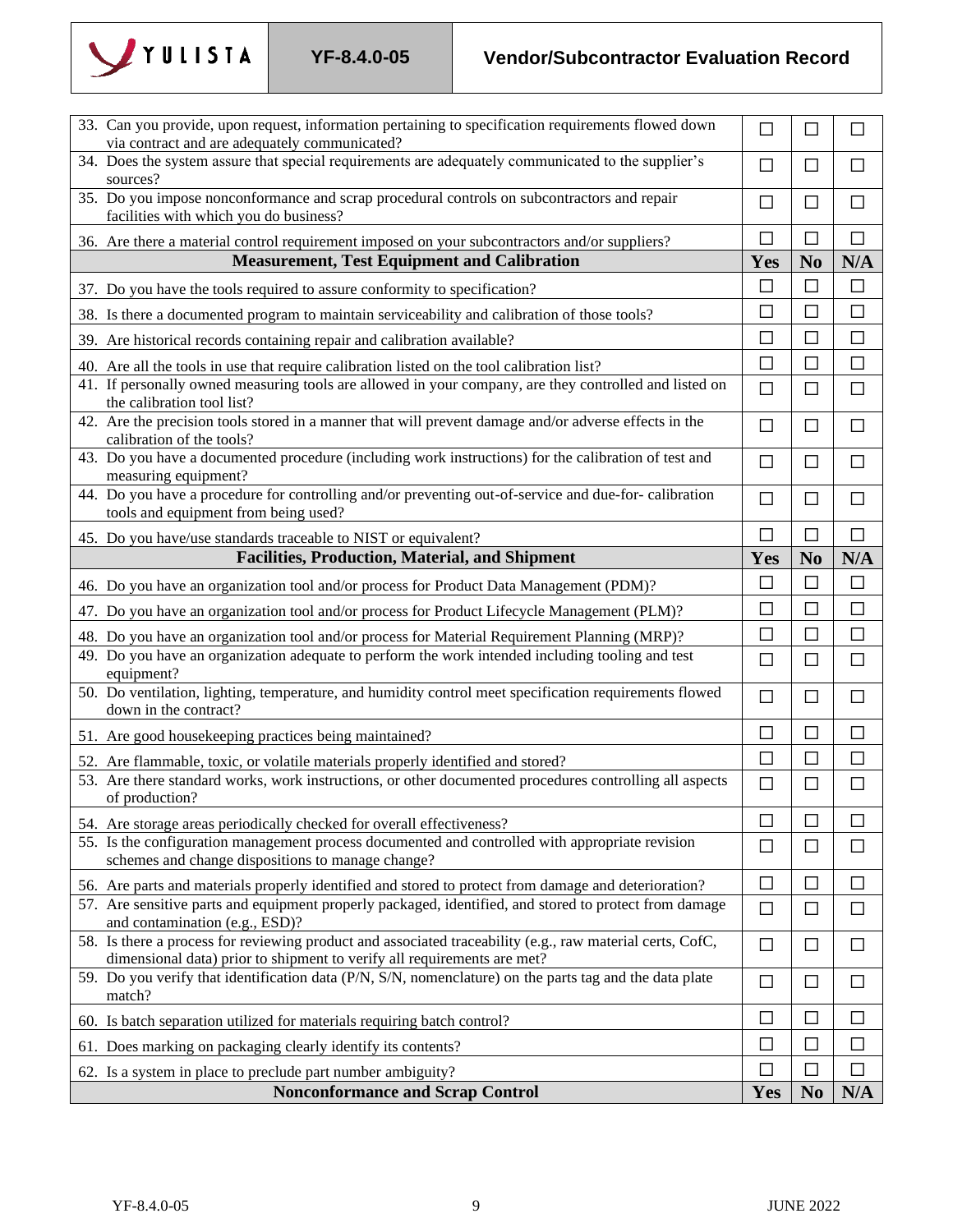

## **YF-8.4.0-05 Vendor/Subcontractor Evaluation Record**

| 33. Can you provide, upon request, information pertaining to specification requirements flowed down<br>via contract and are adequately communicated?                                 | $\Box$ | $\Box$         | П            |
|--------------------------------------------------------------------------------------------------------------------------------------------------------------------------------------|--------|----------------|--------------|
| 34. Does the system assure that special requirements are adequately communicated to the supplier's<br>sources?                                                                       | □      | $\Box$         | $\mathsf{L}$ |
| 35. Do you impose nonconformance and scrap procedural controls on subcontractors and repair<br>facilities with which you do business?                                                | □      | □              | $\Box$       |
| 36. Are there a material control requirement imposed on your subcontractors and/or suppliers?                                                                                        | П      | П              | $\Box$       |
| <b>Measurement, Test Equipment and Calibration</b>                                                                                                                                   | Yes    | N <sub>0</sub> | N/A          |
| 37. Do you have the tools required to assure conformity to specification?                                                                                                            | □      | $\Box$         | $\Box$       |
| 38. Is there a documented program to maintain serviceability and calibration of those tools?                                                                                         | П      | $\Box$         | $\Box$       |
| 39. Are historical records containing repair and calibration available?                                                                                                              | $\Box$ | $\Box$         | $\Box$       |
| 40. Are all the tools in use that require calibration listed on the tool calibration list?                                                                                           | $\Box$ | $\Box$         | $\Box$       |
| 41. If personally owned measuring tools are allowed in your company, are they controlled and listed on<br>the calibration tool list?                                                 | $\Box$ | $\Box$         | $\Box$       |
| 42. Are the precision tools stored in a manner that will prevent damage and/or adverse effects in the<br>calibration of the tools?                                                   | □      | □              | $\Box$       |
| 43. Do you have a documented procedure (including work instructions) for the calibration of test and<br>measuring equipment?                                                         | □      | □              | $\Box$       |
| 44. Do you have a procedure for controlling and/or preventing out-of-service and due-for-calibration<br>tools and equipment from being used?                                         | $\Box$ | $\Box$         | $\Box$       |
| 45. Do you have/use standards traceable to NIST or equivalent?                                                                                                                       | $\Box$ | П              | $\Box$       |
| <b>Facilities, Production, Material, and Shipment</b>                                                                                                                                | Yes    | N <sub>0</sub> | N/A          |
| 46. Do you have an organization tool and/or process for Product Data Management (PDM)?                                                                                               | □      | □              | $\Box$       |
| 47. Do you have an organization tool and/or process for Product Lifecycle Management (PLM)?                                                                                          | П      | П              | $\Box$       |
| 48. Do you have an organization tool and/or process for Material Requirement Planning (MRP)?                                                                                         | $\Box$ | $\Box$         | $\Box$       |
| 49. Do you have an organization adequate to perform the work intended including tooling and test<br>equipment?                                                                       | $\Box$ | □              | □            |
| 50. Do ventilation, lighting, temperature, and humidity control meet specification requirements flowed<br>down in the contract?                                                      | $\Box$ | $\Box$         | $\Box$       |
| 51. Are good housekeeping practices being maintained?                                                                                                                                | $\Box$ | $\Box$         | $\Box$       |
| 52. Are flammable, toxic, or volatile materials properly identified and stored?                                                                                                      | $\Box$ | П              | $\Box$       |
| 53. Are there standard works, work instructions, or other documented procedures controlling all aspects<br>of production?                                                            | $\Box$ | $\Box$         | $\Box$       |
| 54. Are storage areas periodically checked for overall effectiveness?                                                                                                                | □      | $\Box$         | П            |
| 55. Is the configuration management process documented and controlled with appropriate revision<br>schemes and change dispositions to manage change?                                 | □      | □              | П            |
| 56. Are parts and materials properly identified and stored to protect from damage and deterioration?                                                                                 | □      | $\Box$         | $\Box$       |
| 57. Are sensitive parts and equipment properly packaged, identified, and stored to protect from damage<br>and contamination (e.g., ESD)?                                             | $\Box$ | $\Box$         | $\Box$       |
| 58. Is there a process for reviewing product and associated traceability (e.g., raw material certs, CofC,<br>dimensional data) prior to shipment to verify all requirements are met? | $\Box$ | □              | □            |
| 59. Do you verify that identification data (P/N, S/N, nomenclature) on the parts tag and the data plate<br>match?                                                                    | $\Box$ | $\Box$         | $\Box$       |
| 60. Is batch separation utilized for materials requiring batch control?                                                                                                              | $\Box$ | $\Box$         | $\Box$       |
| 61. Does marking on packaging clearly identify its contents?                                                                                                                         | □      | □              | $\Box$       |
| 62. Is a system in place to preclude part number ambiguity?                                                                                                                          | $\Box$ | П              | $\Box$       |
| <b>Nonconformance and Scrap Control</b>                                                                                                                                              | Yes    | N <sub>0</sub> | N/A          |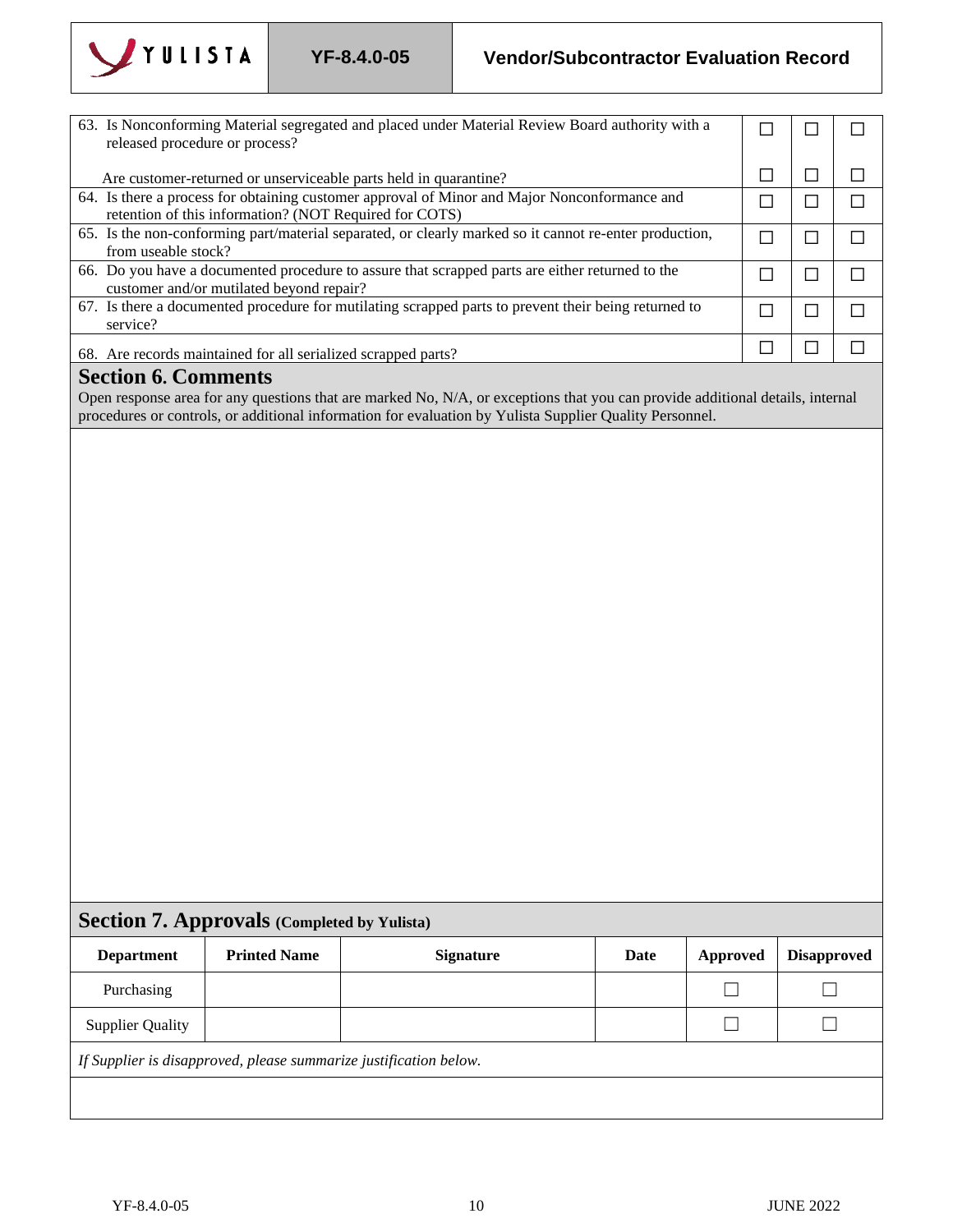

released procedure or process?

63. Is Nonconforming Material segregated and placed under Material Review Board authority with a

## **YF-8.4.0-05 Vendor/Subcontractor Evaluation Record**

☐

☐

☐

|                                                                   |                                                               | Are customer-returned or unserviceable parts held in quarantine?                                                                                                                                                                         |      | $\Box$          | $\Box$                   | П      |
|-------------------------------------------------------------------|---------------------------------------------------------------|------------------------------------------------------------------------------------------------------------------------------------------------------------------------------------------------------------------------------------------|------|-----------------|--------------------------|--------|
|                                                                   | retention of this information? (NOT Required for COTS)        | 64. Is there a process for obtaining customer approval of Minor and Major Nonconformance and                                                                                                                                             |      | $\Box$          | $\Box$                   | $\Box$ |
|                                                                   |                                                               | 65. Is the non-conforming part/material separated, or clearly marked so it cannot re-enter production,                                                                                                                                   |      | $\Box$          | $\Box$                   | □      |
| from useable stock?                                               |                                                               |                                                                                                                                                                                                                                          |      |                 |                          |        |
|                                                                   | customer and/or mutilated beyond repair?                      | 66. Do you have a documented procedure to assure that scrapped parts are either returned to the                                                                                                                                          |      | $\Box$          | $\Box$                   | $\Box$ |
|                                                                   |                                                               | 67. Is there a documented procedure for mutilating scrapped parts to prevent their being returned to                                                                                                                                     |      | $\Box$          | $\Box$                   | $\Box$ |
| service?                                                          |                                                               |                                                                                                                                                                                                                                          |      |                 |                          |        |
|                                                                   | 68. Are records maintained for all serialized scrapped parts? |                                                                                                                                                                                                                                          |      | $\Box$          | $\Box$                   | $\Box$ |
| <b>Section 6. Comments</b>                                        |                                                               |                                                                                                                                                                                                                                          |      |                 |                          |        |
|                                                                   |                                                               | Open response area for any questions that are marked No, N/A, or exceptions that you can provide additional details, internal<br>procedures or controls, or additional information for evaluation by Yulista Supplier Quality Personnel. |      |                 |                          |        |
|                                                                   | <b>Section 7. Approvals (Completed by Yulista)</b>            |                                                                                                                                                                                                                                          |      |                 |                          |        |
| <b>Department</b>                                                 | <b>Printed Name</b>                                           | <b>Signature</b>                                                                                                                                                                                                                         | Date | <b>Approved</b> | <b>Disapproved</b>       |        |
|                                                                   |                                                               |                                                                                                                                                                                                                                          |      |                 |                          |        |
| Purchasing                                                        |                                                               |                                                                                                                                                                                                                                          |      |                 | $\overline{\phantom{0}}$ |        |
| <b>Supplier Quality</b>                                           |                                                               |                                                                                                                                                                                                                                          |      |                 | - 1                      |        |
| If Supplier is disapproved, please summarize justification below. |                                                               |                                                                                                                                                                                                                                          |      |                 |                          |        |
|                                                                   |                                                               |                                                                                                                                                                                                                                          |      |                 |                          |        |
|                                                                   |                                                               |                                                                                                                                                                                                                                          |      |                 |                          |        |